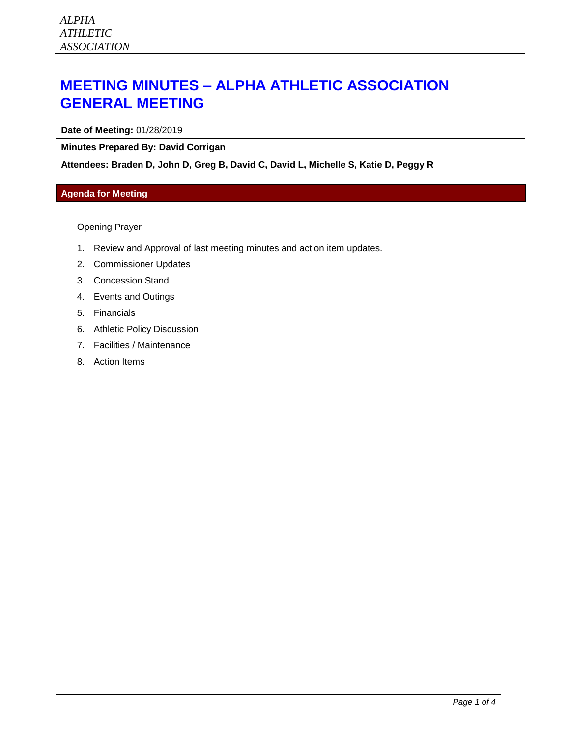## **MEETING MINUTES – ALPHA ATHLETIC ASSOCIATION GENERAL MEETING**

**Date of Meeting:** 01/28/2019

**Minutes Prepared By: David Corrigan**

**Attendees: Braden D, John D, Greg B, David C, David L, Michelle S, Katie D, Peggy R**

## **Agenda for Meeting**

Opening Prayer

- 1. Review and Approval of last meeting minutes and action item updates.
- 2. Commissioner Updates
- 3. Concession Stand
- 4. Events and Outings
- 5. Financials
- 6. Athletic Policy Discussion
- 7. Facilities / Maintenance
- 8. Action Items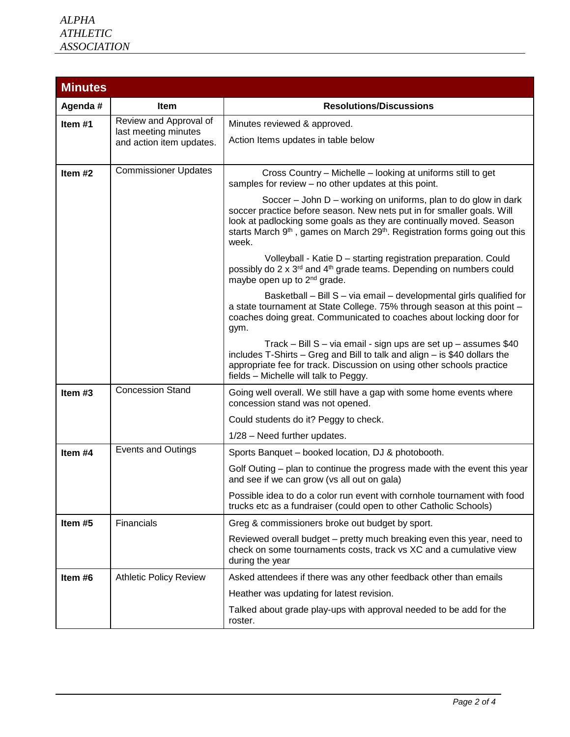| <b>Minutes</b> |                                                                            |                                                                                                                                                                                                                                                                                                                                |  |  |  |
|----------------|----------------------------------------------------------------------------|--------------------------------------------------------------------------------------------------------------------------------------------------------------------------------------------------------------------------------------------------------------------------------------------------------------------------------|--|--|--|
| Agenda #       | <b>Item</b>                                                                | <b>Resolutions/Discussions</b>                                                                                                                                                                                                                                                                                                 |  |  |  |
| Item#1         | Review and Approval of<br>last meeting minutes<br>and action item updates. | Minutes reviewed & approved.                                                                                                                                                                                                                                                                                                   |  |  |  |
|                |                                                                            | Action Items updates in table below                                                                                                                                                                                                                                                                                            |  |  |  |
|                |                                                                            |                                                                                                                                                                                                                                                                                                                                |  |  |  |
| Item #2        | <b>Commissioner Updates</b>                                                | Cross Country - Michelle - looking at uniforms still to get<br>samples for review - no other updates at this point.                                                                                                                                                                                                            |  |  |  |
|                |                                                                            | Soccer – John D – working on uniforms, plan to do glow in dark<br>soccer practice before season. New nets put in for smaller goals. Will<br>look at padlocking some goals as they are continually moved. Season<br>starts March 9 <sup>th</sup> , games on March 29 <sup>th</sup> . Registration forms going out this<br>week. |  |  |  |
|                |                                                                            | Volleyball - Katie D - starting registration preparation. Could<br>possibly do 2 x 3rd and 4 <sup>th</sup> grade teams. Depending on numbers could<br>maybe open up to 2 <sup>nd</sup> grade.                                                                                                                                  |  |  |  |
|                |                                                                            | Basketball - Bill S - via email - developmental girls qualified for<br>a state tournament at State College. 75% through season at this point -<br>coaches doing great. Communicated to coaches about locking door for<br>gym.                                                                                                  |  |  |  |
|                |                                                                            | Track - Bill S - via email - sign ups are set up - assumes \$40<br>includes T-Shirts - Greg and Bill to talk and align - is \$40 dollars the<br>appropriate fee for track. Discussion on using other schools practice<br>fields - Michelle will talk to Peggy.                                                                 |  |  |  |
| Item #3        | <b>Concession Stand</b>                                                    | Going well overall. We still have a gap with some home events where<br>concession stand was not opened.                                                                                                                                                                                                                        |  |  |  |
|                |                                                                            | Could students do it? Peggy to check.                                                                                                                                                                                                                                                                                          |  |  |  |
|                |                                                                            | 1/28 - Need further updates.                                                                                                                                                                                                                                                                                                   |  |  |  |
| Item #4        | <b>Events and Outings</b>                                                  | Sports Banquet - booked location, DJ & photobooth.                                                                                                                                                                                                                                                                             |  |  |  |
|                |                                                                            | Golf Outing – plan to continue the progress made with the event this year<br>and see if we can grow (vs all out on gala)                                                                                                                                                                                                       |  |  |  |
|                |                                                                            | Possible idea to do a color run event with cornhole tournament with food<br>trucks etc as a fundraiser (could open to other Catholic Schools)                                                                                                                                                                                  |  |  |  |
| Item #5        | Financials                                                                 | Greg & commissioners broke out budget by sport.                                                                                                                                                                                                                                                                                |  |  |  |
|                |                                                                            | Reviewed overall budget – pretty much breaking even this year, need to<br>check on some tournaments costs, track vs XC and a cumulative view<br>during the year                                                                                                                                                                |  |  |  |
| Item #6        | <b>Athletic Policy Review</b>                                              | Asked attendees if there was any other feedback other than emails                                                                                                                                                                                                                                                              |  |  |  |
|                |                                                                            | Heather was updating for latest revision.                                                                                                                                                                                                                                                                                      |  |  |  |
|                |                                                                            | Talked about grade play-ups with approval needed to be add for the<br>roster.                                                                                                                                                                                                                                                  |  |  |  |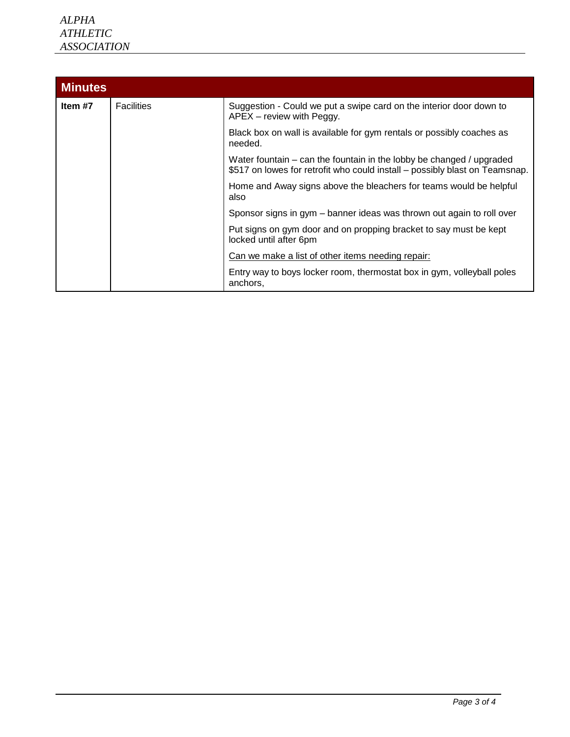| <b>Minutes</b> |                   |                                                                                                                                                     |  |  |  |  |
|----------------|-------------------|-----------------------------------------------------------------------------------------------------------------------------------------------------|--|--|--|--|
| Item #7        | <b>Facilities</b> | Suggestion - Could we put a swipe card on the interior door down to<br>APEX - review with Peggy.                                                    |  |  |  |  |
|                |                   | Black box on wall is available for gym rentals or possibly coaches as<br>needed.                                                                    |  |  |  |  |
|                |                   | Water fountain – can the fountain in the lobby be changed / upgraded<br>\$517 on lowes for retrofit who could install – possibly blast on Teamsnap. |  |  |  |  |
|                |                   | Home and Away signs above the bleachers for teams would be helpful<br>also                                                                          |  |  |  |  |
|                |                   | Sponsor signs in gym – banner ideas was thrown out again to roll over                                                                               |  |  |  |  |
|                |                   | Put signs on gym door and on propping bracket to say must be kept<br>locked until after 6pm                                                         |  |  |  |  |
|                |                   | Can we make a list of other items needing repair:                                                                                                   |  |  |  |  |
|                |                   | Entry way to boys locker room, thermostat box in gym, volleyball poles<br>anchors,                                                                  |  |  |  |  |